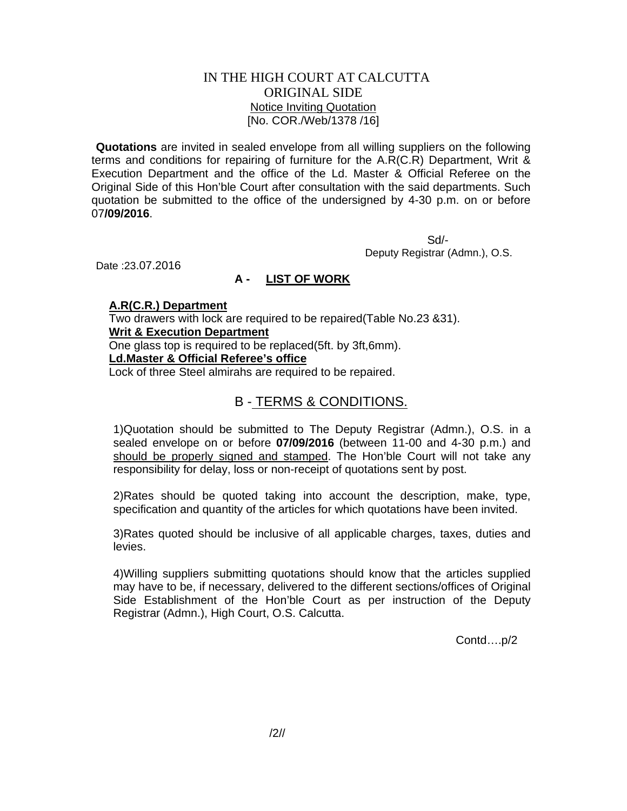# IN THE HIGH COURT AT CALCUTTA ORIGINAL SIDE Notice Inviting Quotation [No. COR./Web/1378 /16]

**Quotations** are invited in sealed envelope from all willing suppliers on the following terms and conditions for repairing of furniture for the A.R(C.R) Department, Writ & Execution Department and the office of the Ld. Master & Official Referee on the Original Side of this Hon'ble Court after consultation with the said departments. Such quotation be submitted to the office of the undersigned by 4-30 p.m. on or before 07**/09/2016**.

 Sd/- Deputy Registrar (Admn.), O.S.

Date :23.07.2016

# **A - LIST OF WORK**

### **A.R(C.R.) Department**

Two drawers with lock are required to be repaired(Table No.23 &31).

# **Writ & Execution Department**

One glass top is required to be replaced(5ft. by 3ft,6mm).

### **Ld.Master & Official Referee's office**

Lock of three Steel almirahs are required to be repaired.

# B - TERMS & CONDITIONS.

1)Quotation should be submitted to The Deputy Registrar (Admn.), O.S. in a sealed envelope on or before **07/09/2016** (between 11-00 and 4-30 p.m.) and should be properly signed and stamped. The Hon'ble Court will not take any responsibility for delay, loss or non-receipt of quotations sent by post.

2)Rates should be quoted taking into account the description, make, type, specification and quantity of the articles for which quotations have been invited.

3)Rates quoted should be inclusive of all applicable charges, taxes, duties and levies.

4)Willing suppliers submitting quotations should know that the articles supplied may have to be, if necessary, delivered to the different sections/offices of Original Side Establishment of the Hon'ble Court as per instruction of the Deputy Registrar (Admn.), High Court, O.S. Calcutta.

Contd….p/2